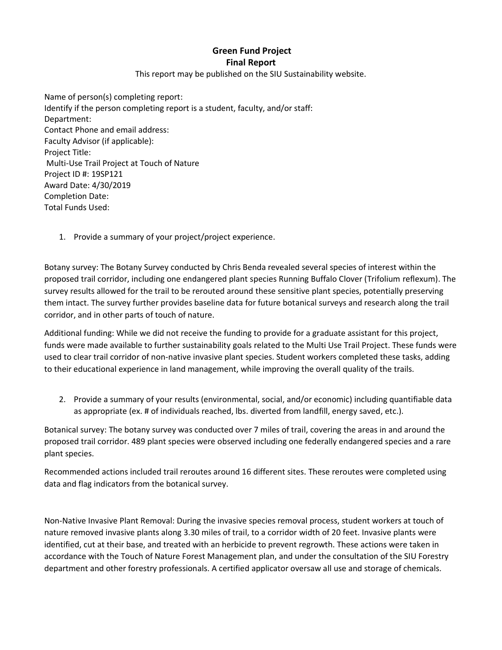## **Green Fund Project Final Report**

This report may be published on the SIU Sustainability website.

Name of person(s) completing report: Identify if the person completing report is a student, faculty, and/or staff: Department: Contact Phone and email address: Faculty Advisor (if applicable): Project Title: Multi-Use Trail Project at Touch of Nature Project ID #: 19SP121 Award Date: 4/30/2019 Completion Date: Total Funds Used:

1. Provide a summary of your project/project experience.

Botany survey: The Botany Survey conducted by Chris Benda revealed several species of interest within the proposed trail corridor, including one endangered plant species Running Buffalo Clover (Trifolium reflexum). The survey results allowed for the trail to be rerouted around these sensitive plant species, potentially preserving them intact. The survey further provides baseline data for future botanical surveys and research along the trail corridor, and in other parts of touch of nature.

Additional funding: While we did not receive the funding to provide for a graduate assistant for this project, funds were made available to further sustainability goals related to the Multi Use Trail Project. These funds were used to clear trail corridor of non-native invasive plant species. Student workers completed these tasks, adding to their educational experience in land management, while improving the overall quality of the trails.

2. Provide a summary of your results (environmental, social, and/or economic) including quantifiable data as appropriate (ex. # of individuals reached, lbs. diverted from landfill, energy saved, etc.).

Botanical survey: The botany survey was conducted over 7 miles of trail, covering the areas in and around the proposed trail corridor. 489 plant species were observed including one federally endangered species and a rare plant species.

Recommended actions included trail reroutes around 16 different sites. These reroutes were completed using data and flag indicators from the botanical survey.

Non-Native Invasive Plant Removal: During the invasive species removal process, student workers at touch of nature removed invasive plants along 3.30 miles of trail, to a corridor width of 20 feet. Invasive plants were identified, cut at their base, and treated with an herbicide to prevent regrowth. These actions were taken in accordance with the Touch of Nature Forest Management plan, and under the consultation of the SIU Forestry department and other forestry professionals. A certified applicator oversaw all use and storage of chemicals.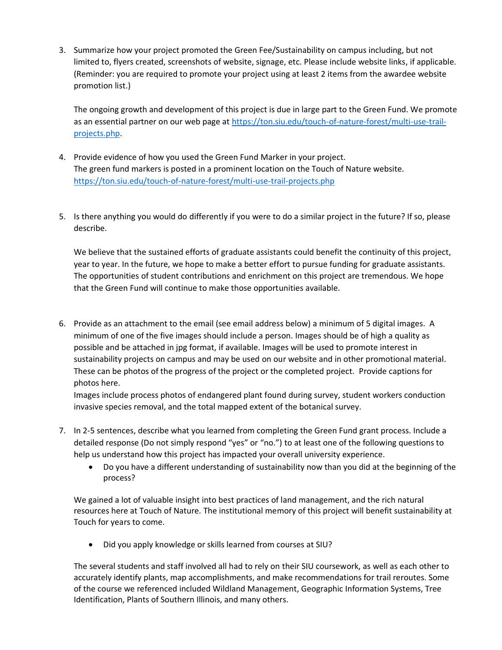3. Summarize how your project promoted the Green Fee/Sustainability on campus including, but not limited to, flyers created, screenshots of website, signage, etc. Please include website links, if applicable. (Reminder: you are required to promote your project using at least 2 items from the awardee website promotion list.)

The ongoing growth and development of this project is due in large part to the Green Fund. We promote as an essential partner on our web page a[t https://ton.siu.edu/touch-of-nature-forest/multi-use-trail](about:blank)[projects.php.](about:blank)

- 4. Provide evidence of how you used the Green Fund Marker in your project. The green fund markers is posted in a prominent location on the Touch of Nature website. [https://ton.siu.edu/touch-of-nature-forest/multi-use-trail-projects.php](about:blank)
- 5. Is there anything you would do differently if you were to do a similar project in the future? If so, please describe.

We believe that the sustained efforts of graduate assistants could benefit the continuity of this project, year to year. In the future, we hope to make a better effort to pursue funding for graduate assistants. The opportunities of student contributions and enrichment on this project are tremendous. We hope that the Green Fund will continue to make those opportunities available.

6. Provide as an attachment to the email (see email address below) a minimum of 5 digital images. A minimum of one of the five images should include a person. Images should be of high a quality as possible and be attached in jpg format, if available. Images will be used to promote interest in sustainability projects on campus and may be used on our website and in other promotional material. These can be photos of the progress of the project or the completed project. Provide captions for photos here.

Images include process photos of endangered plant found during survey, student workers conduction invasive species removal, and the total mapped extent of the botanical survey.

- 7. In 2-5 sentences, describe what you learned from completing the Green Fund grant process. Include a detailed response (Do not simply respond "yes" or "no.") to at least one of the following questions to help us understand how this project has impacted your overall university experience.
	- Do you have a different understanding of sustainability now than you did at the beginning of the process?

We gained a lot of valuable insight into best practices of land management, and the rich natural resources here at Touch of Nature. The institutional memory of this project will benefit sustainability at Touch for years to come.

• Did you apply knowledge or skills learned from courses at SIU?

The several students and staff involved all had to rely on their SIU coursework, as well as each other to accurately identify plants, map accomplishments, and make recommendations for trail reroutes. Some of the course we referenced included Wildland Management, Geographic Information Systems, Tree Identification, Plants of Southern Illinois, and many others.